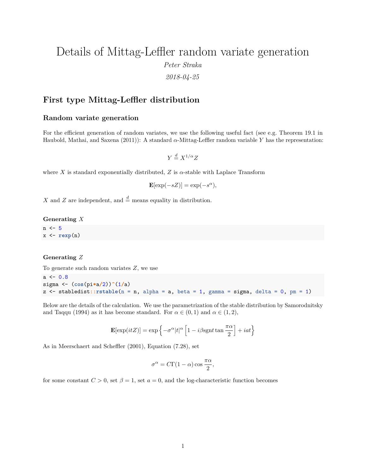# Details of Mittag-Leffler random variate generation *Peter Straka 2018-04-25*

## **First type Mittag-Leffler distribution**

## **Random variate generation**

For the efficient generation of random variates, we use the following useful fact (see e.g. Theorem 19.1 in Haubold, Mathai, and Saxena (2011)): A standard *α*-Mittag-Leffler random variable *Y* has the representation:

 $Y \stackrel{d}{=} X^{1/\alpha}Z$ 

where *X* is standard exponentially distributed, *Z* is  $\alpha$ -stable with Laplace Transform

 $\mathbf{E}[\exp(-sZ)] = \exp(-s^{\alpha}),$ 

*X* and *Z* are independent, and  $\stackrel{d}{=}$  means equality in distribution.

**Generating** *X*

 $n \le -5$ x <- **rexp**(n)

#### **Generating** *Z*

To generate such random variates *Z*, we use

```
a \le 0.8sigma <- (cos(pi*a/2))^(1/a)
z <- stabledist::rstable(n = n, alpha = a, beta = 1, gamma = sigma, delta = 0, pm = 1)
```
Below are the details of the calculation. We use the parametrization of the stable distribution by Samorodnitsky and Taqqu (1994) as it has become standard. For  $\alpha \in (0,1)$  and  $\alpha \in (1,2)$ ,

$$
\mathbf{E}[\exp(itZ)]=\exp\left\{-\sigma^{\alpha}|t|^{\alpha}\left[1-i\beta \mathrm{sgn}t\tan\frac{\pi\alpha}{2}\right]+iat\right\}
$$

As in Meerschaert and Scheffler (2001), Equation (7.28), set

$$
\sigma^{\alpha} = C\Gamma(1-\alpha)\cos\frac{\pi\alpha}{2},
$$

for some constant  $C > 0$ , set  $\beta = 1$ , set  $a = 0$ , and the log-characteristic function becomes